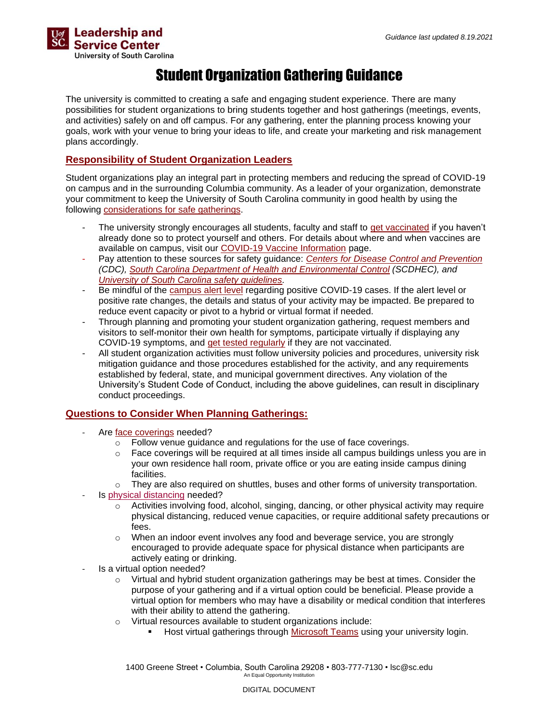

## Student Organization Gathering Guidance

The university is committed to creating a safe and engaging student experience. There are many possibilities for student organizations to bring students together and host gatherings (meetings, events, and activities) safely on and off campus. For any gathering, enter the planning process knowing your goals, work with your venue to bring your ideas to life, and create your marketing and risk management plans accordingly.

## **Responsibility of Student Organization Leaders**

Student organizations play an integral part in protecting members and reducing the spread of COVID-19 on campus and in the surrounding Columbia community. As a leader of your organization, demonstrate your commitment to keep the University of South Carolina community in good health by using the following [considerations for safe gatherings.](https://sc.edu/safety/coronavirus/safety_guidelines/group_gatherings/index.php)

- The university strongly encourages all students, faculty and staff to [get vaccinated](https://www.vaccines.gov/search/) if you haven't already done so to protect yourself and others. For details about where and when vaccines are available on campus, visit our [COVID-19 Vaccine Information](https://sc.edu/safety/coronavirus/testing_and_services/vaccine/index.php) page.
- Pay attention to these sources for safety guidance: *[Centers for Disease Control and Prevention](https://www.cdc.gov/coronavirus/2019-ncov/community/large-events/considerations-for-events-gatherings.html) (CDC), [South Carolina Department of Health and Environmental Control](https://scdhec.gov/covid19) (SCDHEC), and [University of South Carolina safety guidelines.](https://sc.edu/safety/coronavirus/safety_guidelines/index.php)*
- Be mindful of the [campus alert level](https://sc.edu/safety/coronavirus/dashboard/campus_safety_status_levels/index.php) regarding positive COVID-19 cases. If the alert level or positive rate changes, the details and status of your activity may be impacted. Be prepared to reduce event capacity or pivot to a hybrid or virtual format if needed.
- Through planning and promoting your student organization gathering, request members and visitors to self-monitor their own health for symptoms, participate virtually if displaying any COVID-19 symptoms, and [get tested regularly](https://sc.edu/about/offices_and_divisions/health_services/medical-services/covid-19/covid19_testing/index.php) if they are not vaccinated.
- All student organization activities must follow university policies and procedures, university risk mitigation guidance and those procedures established for the activity, and any requirements established by federal, state, and municipal government directives. Any violation of the University's Student Code of Conduct, including the above guidelines, can result in disciplinary conduct proceedings.

## **Questions to Consider When Planning Gatherings:**

- Are [face coverings](https://sc.edu/safety/coronavirus/safety_guidelines/index.php) needed?
	- o Follow venue guidance and regulations for the use of face coverings.
	- $\circ$  Face coverings will be required at all times inside all campus buildings unless you are in your own residence hall room, private office or you are eating inside campus dining facilities.
	- $\circ$  They are also required on shuttles, buses and other forms of university transportation.
- Is [physical distancing](https://sc.edu/safety/coronavirus/safety_guidelines/physical_distancing/index.php) needed?
	- $\circ$  Activities involving food, alcohol, singing, dancing, or other physical activity may require physical distancing, reduced venue capacities, or require additional safety precautions or fees.
	- When an indoor event involves any food and beverage service, you are strongly encouraged to provide adequate space for physical distance when participants are actively eating or drinking.
- Is a virtual option needed?
	- $\circ$  Virtual and hybrid student organization gatherings may be best at times. Consider the purpose of your gathering and if a virtual option could be beneficial. Please provide a virtual option for members who may have a disability or medical condition that interferes with their ability to attend the gathering.
	- o Virtual resources available to student organizations include:
		- Host virtual gatherings through [Microsoft Teams](https://www.microsoft.com/en-us/microsoft-365/microsoft-teams/group-chat-software) using your university login.

1400 Greene Street • Columbia, South Carolina 29208 • 803-777-7130 • lsc@sc.edu An Equal Opportunity Institution